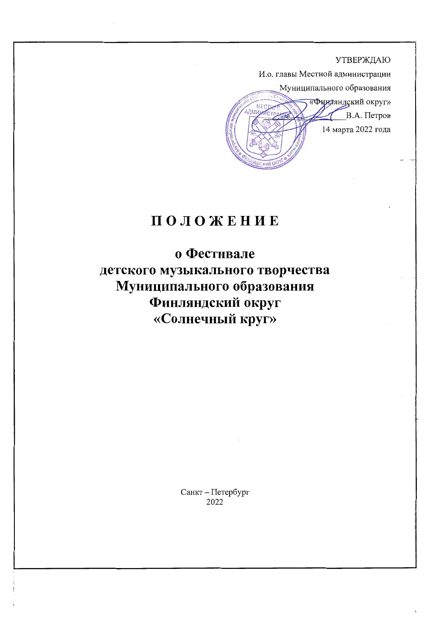

# ПОЛОЖЕНИЕ

о Фестивале детского музыкального творчества Муниципального образования Финляндский округ «Солнечный круг»

> Санкт - Петербург 2022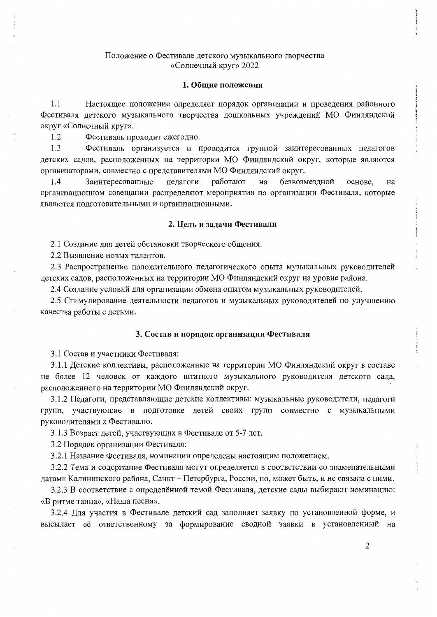#### 1. Общие положения

1.1 Настоящее положение определяет порядок организации и проведения районного Фестиваля детского музыкального творчества дошкольных учреждений МО Финляндский округ «Солнечный круг».

1.2 Фестиваль проходит ежегодно.

1.3 Фестиваль организуется и проводится группой заинтересованных педагогов детских садов, расположенных на территории МО Финляндский округ, которые являются организаторами, совместно с представителями МО Финляндский округ.

1.4 Заинтересованные педагоги работают на безвозмездной основе, на организационном совещании распределяют мероприятия по организации Фестиваля, которые являются подготовительными и организационными.

## 2. Цель и задачи Фестиваля

2.1 Создание для детей обстановки творческого общения.

2.2 Выявление новых талантов.

2.3 Распространение положительного педагогического опыта музыкальных руководителей детских садов, расположенных на территории МО Финляндский округ на уровне района.

2.4 Создание условий для организации обмена опытом музыкальных руководителей.

2.5 Стимулирование деятельности педагогов и музыкальных руководителей по улучшению качества работы с детьми.

#### 3. Состав и порядок организации Фестиваля

3.1 Состав и участники Фестиваля:

3.1.1 Детские коллективы, расположенные на территории МО Финляндский округ в составе не более 12 человек от каждого штатного музыкального руководителя детского сада, расположенного на территории МО Финляндский округ.

3.1.2 Педагоги, представляющие детские коллективы: музыкальные руководители, педагоги групп, участвующие в подготовке детей своих групп совместно с музыкальными руководителями к Фестивалю.

3.1.3 Возраст детей, участвующих в Фестивале от 5-7 лет.

3.2 Порядок организации Фестиваля:

3.2.1 Название Фестиваля, номинации определены настоящим положением.

3.2.2 Тема и содержание Фестиваля могут определяется в соответствии со знаменательными датами Калининского района, Санкт - Петербурга, России, но, может быть, и не связана с ними.

3.2.3 В соответствие с определённой темой Фестиваля, детские сады выбирают номинацию: «В ритме танца», «Наша песня».

3.2.4 Для участия в Фестивале детский сад заполняет заявку по установленной форме, и высылает её ответственному за формирование сводной заявки в установленный на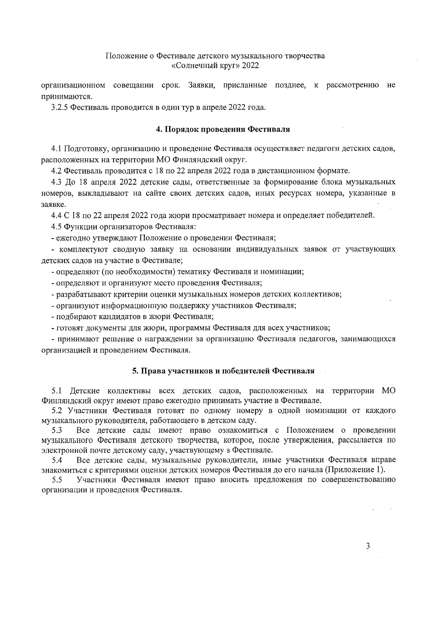организационном совещании срок. Заявки, присланные позднее, к рассмотрению не принимаются.

3.2.5 Фестиваль проводится в один тур в апреле 2022 года.

#### 4. Порядок проведения Фестиваля

4.1 Подготовку, организацию и проведение Фестиваля осуществляет педагоги детских садов, расположенных на территории МО Финляндский округ.

4.2 Фестиваль проводится с 18 по 22 апреля 2022 года в дистанционном формате.

4.3 До 18 апреля 2022 детские сады, ответственные за формирование блока музыкальных номеров, выкладывают на сайте своих детских садов, иных ресурсах номера, указанные в заявке.

4.4 С 18 по 22 апреля 2022 года жюри просматривает номера и определяет победителей.

4.5 Функции организаторов Фестиваля:

- ежегодно утверждают Положение о проведении Фестиваля;

- комплектуют сводную заявку на основании индивидуальных заявок от участвующих детских садов на участие в Фестивале;

- определяют (по необходимости) тематику Фестиваля и номинации;

- определяют и организуют место проведения Фестиваля;

- разрабатывают критерии оценки музыкальных номеров детских коллективов;

- организуют информационную поддержку участников Фестиваля;

- подбирают кандидатов в жюри Фестиваля;

- готовят документы для жюри, программы Фестиваля для всех участников;

- принимают решение о награждении за организацию Фестиваля педагогов, занимающихся организацией и проведением Фестиваля.

## 5. Права участников и победителей Фестиваля

5.1 Детские коллективы всех детских садов, расположенных на территории МО Финляндский округ имеют право ежегодно принимать участие в Фестивале.

5.2 Участники Фестиваля готовят по одному номеру в одной номинации от каждого музыкального руководителя, работающего в детском саду.

5.3 Все детские сады имеют право ознакомиться с Положением о проведении музыкального Фестиваля детского творчества, которое, после утверждения, рассылается по электронной почте детскому саду, участвующему в Фестивале.

Все детские сады, музыкальные руководители, иные участники Фестиваля вправе 5.4 знакомиться с критериями оценки детских номеров Фестиваля до его начала (Приложение 1).

Участники Фестиваля имеют право вносить предложения по совершенствованию 5.5 организации и проведения Фестиваля.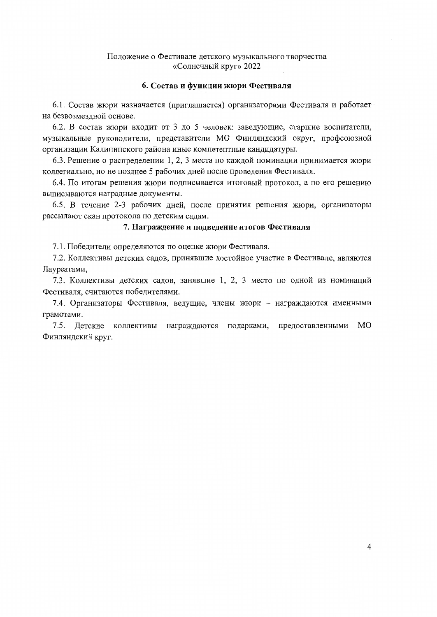## 6. Состав и функции жюри Фестиваля

6.1. Состав жюри назначается (приглашается) организаторами Фестиваля и работает на безвозмездной основе.

6.2. В состав жюри входит от 3 до 5 человек: заведующие, старшие воспитатели, музыкальные руководители, представители МО Финляндский округ, профсоюзной организации Калининского района иные компетентные кандидатуры.

6.3. Решение о распределении 1, 2, 3 места по каждой номинации принимается жюри коллегиально, но не позднее 5 рабочих дней после проведения Фестиваля.

6.4. По итогам решения жюри подписывается итоговый протокол, а по его решению выписываются наградные документы.

6.5. В течение 2-3 рабочих дней, после принятия решения жюри, организаторы рассылают скан протокола по детским садам.

# 7. Награждение и подведение итогов Фестиваля

7.1. Победители определяются по оценке жюри Фестиваля.

7.2. Коллективы детских садов, принявшие достойное участие в Фестивале, являются Лауреатами,

7.3. Коллективы детских садов, занявшие 1, 2, 3 место по одной из номинаций Фестиваля, считаются победителями.

7.4. Организаторы Фестиваля, ведущие, члены жюри - награждаются именными грамотами.

7.5. Детские коллективы награждаются подарками, предоставленными МО Финляндский круг.